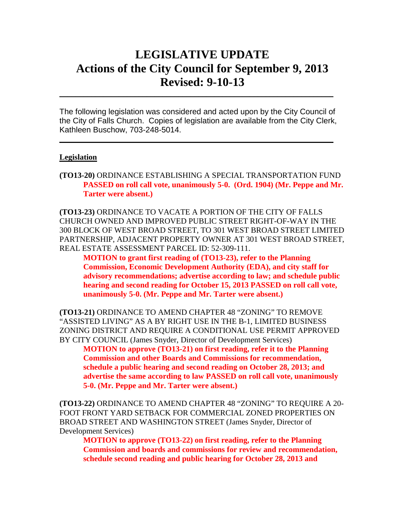# **LEGISLATIVE UPDATE Actions of the City Council for September 9, 2013 Revised: 9-10-13**

The following legislation was considered and acted upon by the City Council of the City of Falls Church. Copies of legislation are available from the City Clerk, Kathleen Buschow, 703-248-5014.

 $\mathcal{L}_\text{max}$  and  $\mathcal{L}_\text{max}$  and  $\mathcal{L}_\text{max}$  and  $\mathcal{L}_\text{max}$  and  $\mathcal{L}_\text{max}$  and  $\mathcal{L}_\text{max}$ 

 $\mathcal{L}_\text{max}$  and  $\mathcal{L}_\text{max}$  and  $\mathcal{L}_\text{max}$  and  $\mathcal{L}_\text{max}$  and  $\mathcal{L}_\text{max}$  and  $\mathcal{L}_\text{max}$ 

#### **Legislation**

**(TO13-20)** ORDINANCE ESTABLISHING A SPECIAL TRANSPORTATION FUND **PASSED on roll call vote, unanimously 5-0. (Ord. 1904) (Mr. Peppe and Mr. Tarter were absent.)**

**(TO13-23)** ORDINANCE TO VACATE A PORTION OF THE CITY OF FALLS CHURCH OWNED AND IMPROVED PUBLIC STREET RIGHT-OF-WAY IN THE 300 BLOCK OF WEST BROAD STREET, TO 301 WEST BROAD STREET LIMITED PARTNERSHIP, ADJACENT PROPERTY OWNER AT 301 WEST BROAD STREET, REAL ESTATE ASSESSMENT PARCEL ID: 52-309-111.

**MOTION to grant first reading of (TO13-23), refer to the Planning Commission, Economic Development Authority (EDA), and city staff for advisory recommendations; advertise according to law; and schedule public hearing and second reading for October 15, 2013 PASSED on roll call vote, unanimously 5-0. (Mr. Peppe and Mr. Tarter were absent.)**

**(TO13-21)** ORDINANCE TO AMEND CHAPTER 48 "ZONING" TO REMOVE "ASSISTED LIVING" AS A BY RIGHT USE IN THE B-1, LIMITED BUSINESS ZONING DISTRICT AND REQUIRE A CONDITIONAL USE PERMIT APPROVED BY CITY COUNCIL (James Snyder, Director of Development Services)

**MOTION to approve (TO13-21) on first reading, refer it to the Planning Commission and other Boards and Commissions for recommendation, schedule a public hearing and second reading on October 28, 2013; and advertise the same according to law PASSED on roll call vote, unanimously 5-0. (Mr. Peppe and Mr. Tarter were absent.)**

**(TO13-22)** ORDINANCE TO AMEND CHAPTER 48 "ZONING" TO REQUIRE A 20- FOOT FRONT YARD SETBACK FOR COMMERCIAL ZONED PROPERTIES ON BROAD STREET AND WASHINGTON STREET (James Snyder, Director of Development Services)

**MOTION to approve (TO13-22) on first reading, refer to the Planning Commission and boards and commissions for review and recommendation, schedule second reading and public hearing for October 28, 2013 and**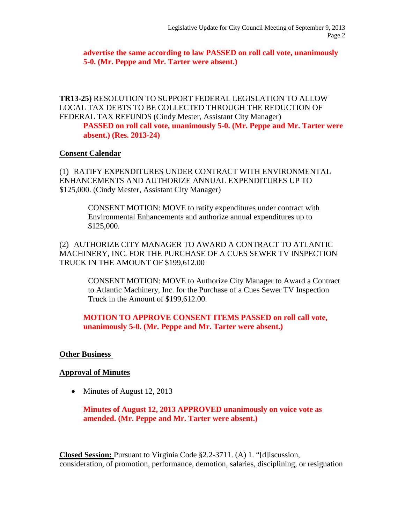**advertise the same according to law PASSED on roll call vote, unanimously 5-0. (Mr. Peppe and Mr. Tarter were absent.)**

**TR13-25)** RESOLUTION TO SUPPORT FEDERAL LEGISLATION TO ALLOW LOCAL TAX DEBTS TO BE COLLECTED THROUGH THE REDUCTION OF FEDERAL TAX REFUNDS (Cindy Mester, Assistant City Manager)

**PASSED on roll call vote, unanimously 5-0. (Mr. Peppe and Mr. Tarter were absent.) (Res. 2013-24)**

### **Consent Calendar**

(1) RATIFY EXPENDITURES UNDER CONTRACT WITH ENVIRONMENTAL ENHANCEMENTS AND AUTHORIZE ANNUAL EXPENDITURES UP TO \$125,000. (Cindy Mester, Assistant City Manager)

> CONSENT MOTION: MOVE to ratify expenditures under contract with Environmental Enhancements and authorize annual expenditures up to \$125,000.

(2) AUTHORIZE CITY MANAGER TO AWARD A CONTRACT TO ATLANTIC MACHINERY, INC. FOR THE PURCHASE OF A CUES SEWER TV INSPECTION TRUCK IN THE AMOUNT OF \$199,612.00

> CONSENT MOTION: MOVE to Authorize City Manager to Award a Contract to Atlantic Machinery, Inc. for the Purchase of a Cues Sewer TV Inspection Truck in the Amount of \$199,612.00.

## **MOTION TO APPROVE CONSENT ITEMS PASSED on roll call vote, unanimously 5-0. (Mr. Peppe and Mr. Tarter were absent.)**

### **Other Business**

### **Approval of Minutes**

• Minutes of August 12, 2013

**Minutes of August 12, 2013 APPROVED unanimously on voice vote as amended. (Mr. Peppe and Mr. Tarter were absent.)**

**Closed Session:** Pursuant to Virginia Code §2.2-3711. (A) 1. "[d]iscussion, consideration, of promotion, performance, demotion, salaries, disciplining, or resignation